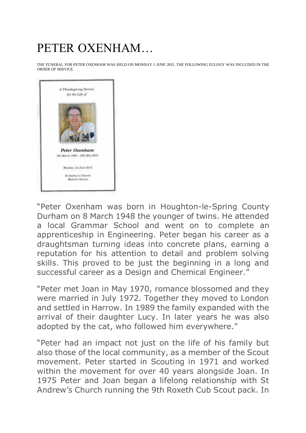## PETER OXENHAM…

THE FUNERAL FOR PETER OXENHAM WAS HELD ON MONDAY 1 JUNE 2015. THE FOLLOWING EULOGY WAS INCLUDED IN THE ORDER OF SERVICE.



"Peter Oxenham was born in Houghton-le-Spring County Durham on 8 March 1948 the younger of twins. He attended a local Grammar School and went on to complete an apprenticeship in Engineering. Peter began his career as a draughtsman turning ideas into concrete plans, earning a reputation for his attention to detail and problem solving skills. This proved to be just the beginning in a long and successful career as a Design and Chemical Engineer."

"Peter met Joan in May 1970, romance blossomed and they were married in July 1972. Together they moved to London and settled in Harrow. In 1989 the family expanded with the arrival of their daughter Lucy. In later years he was also adopted by the cat, who followed him everywhere."

"Peter had an impact not just on the life of his family but also those of the local community, as a member of the Scout movement. Peter started in Scouting in 1971 and worked within the movement for over 40 years alongside Joan. In 1975 Peter and Joan began a lifelong relationship with St Andrew's Church running the 9th Roxeth Cub Scout pack. In